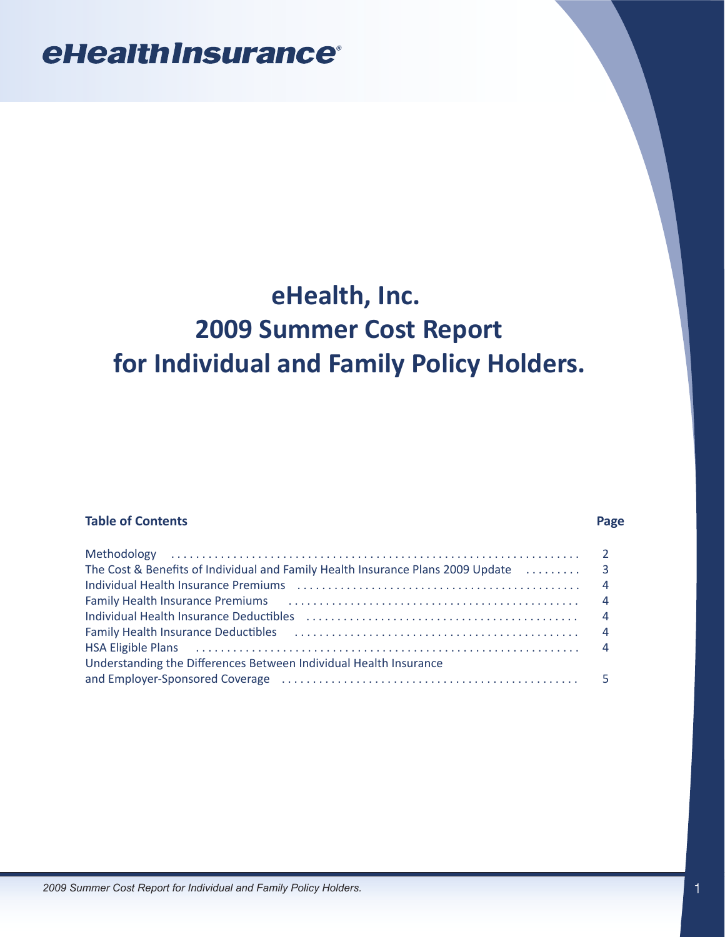# **eHealth, Inc. 2009 Summer Cost Report for Individual and Family Policy Holders.**

## **Table of Contents** Page

| Individual Health Insurance Premiums (all interactional contracts and the set of the set of the set of the set |  |
|----------------------------------------------------------------------------------------------------------------|--|
| Family Health Insurance Premiums (all accommodation of the state of the state of the state of the state of the |  |
| Individual Health Insurance Deductibles (all contained according to the distribution of the distribution of th |  |
|                                                                                                                |  |
| HSA Eligible Plans (all continuation of the control of the Plance of All control of the Plans of All control o |  |
| Understanding the Differences Between Individual Health Insurance                                              |  |
| and Employer-Sponsored Coverage (and accommunicative material or the space of the space of the space of the s  |  |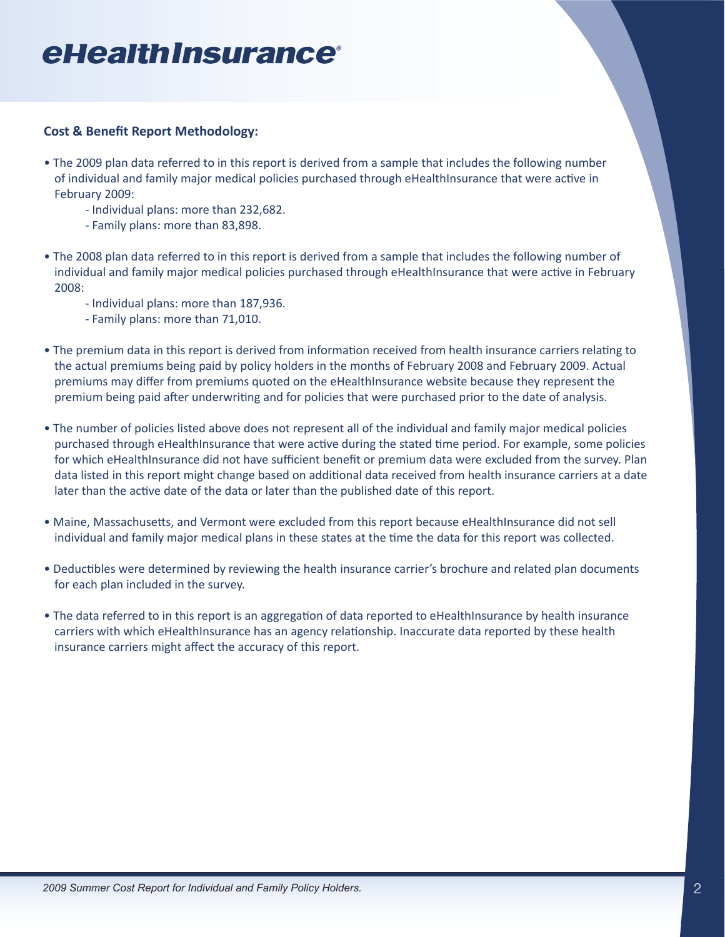## <span id="page-1-0"></span>**Cost & Benefit Report Methodology:**

- The 2009 plan data referred to in this report is derived from a sample that includes the following number of individual and family major medical policies purchased through eHealthInsurance that were active in February 2009:
	- Individual plans: more than 232,682.
	- Family plans: more than 83,898.
- The 2008 plan data referred to in this report is derived from a sample that includes the following number of individual and family major medical policies purchased through eHealthInsurance that were active in February 2008:
	- Individual plans: more than 187,936.
	- Family plans: more than 71,010.
- The premium data in this report is derived from information received from health insurance carriers relating to the actual premiums being paid by policy holders in the months of February 2008 and February 2009. Actual premiums may differ from premiums quoted on the eHealthInsurance website because they represent the premium being paid after underwriting and for policies that were purchased prior to the date of analysis.
- The number of policies listed above does not represent all of the individual and family major medical policies purchased through eHealthInsurance that were active during the stated time period. For example, some policies for which eHealthInsurance did not have sufficient benefit or premium data were excluded from the survey. Plan data listed in this report might change based on additional data received from health insurance carriers at a date later than the active date of the data or later than the published date of this report.
- Maine, Massachusetts, and Vermont were excluded from this report because eHealthInsurance did not sell individual and family major medical plans in these states at the time the data for this report was collected.
- Deductibles were determined by reviewing the health insurance carrier's brochure and related plan documents for each plan included in the survey.
- The data referred to in this report is an aggregation of data reported to eHealthInsurance by health insurance carriers with which eHealthInsurance has an agency relationship. Inaccurate data reported by these health insurance carriers might affect the accuracy of this report.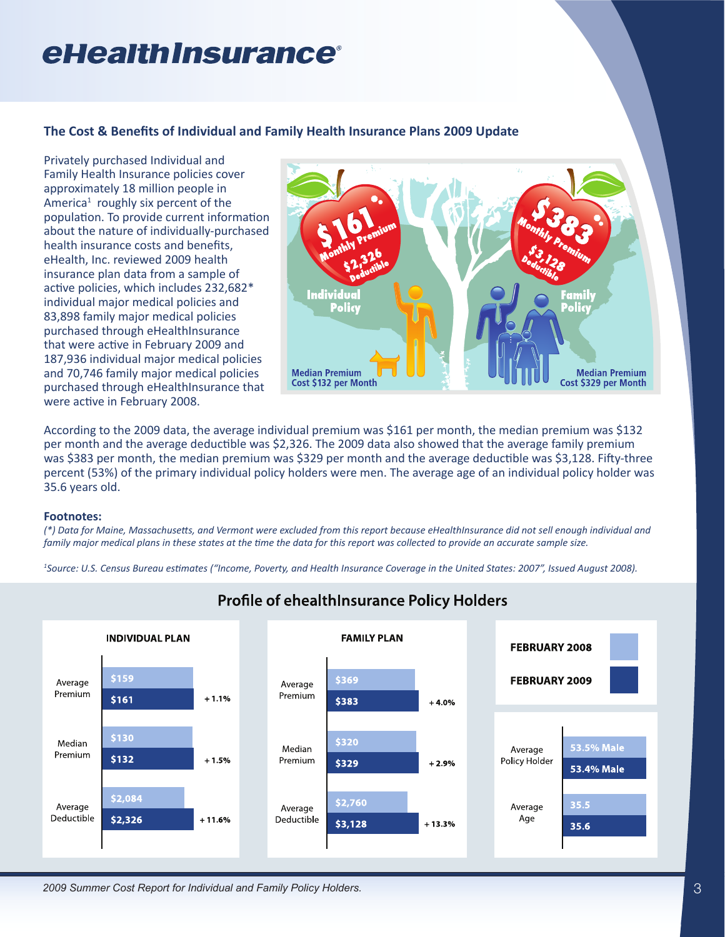## <span id="page-2-0"></span>**The Cost & Benefits of Individual and Family Health Insurance Plans 2009 Update**

Privately purchased Individual and Family Health Insurance policies cover approximately 18 million people in America<sup>1</sup> roughly six percent of the population. To provide current information about the nature of individually-purchased health insurance costs and benefits, eHealth, Inc. reviewed 2009 health insurance plan data from a sample of active policies, which includes 232,682\* individual major medical policies and 83,898 family major medical policies purchased through eHealthInsurance that were active in February 2009 and 187,936 individual major medical policies and 70,746 family major medical policies purchased through eHealthInsurance that were active in February 2008.



According to the 2009 data, the average individual premium was \$161 per month, the median premium was \$132 per month and the average deductible was \$2,326. The 2009 data also showed that the average family premium was \$383 per month, the median premium was \$329 per month and the average deductible was \$3,128. Fifty-three percent (53%) of the primary individual policy holders were men. The average age of an individual policy holder was 35.6 years old.

### **Footnotes:**

*(\*) Data for Maine, Massachusetts, and Vermont were excluded from this report because eHealthInsurance did not sell enough individual and family major medical plans in these states at the time the data for this report was collected to provide an accurate sample size.* 

*1 Source: U.S. Census Bureau estimates ("Income, Poverty, and Health Insurance Coverage in the United States: 2007", Issued August 2008).*



**Profile of ehealthInsurance Policy Holders**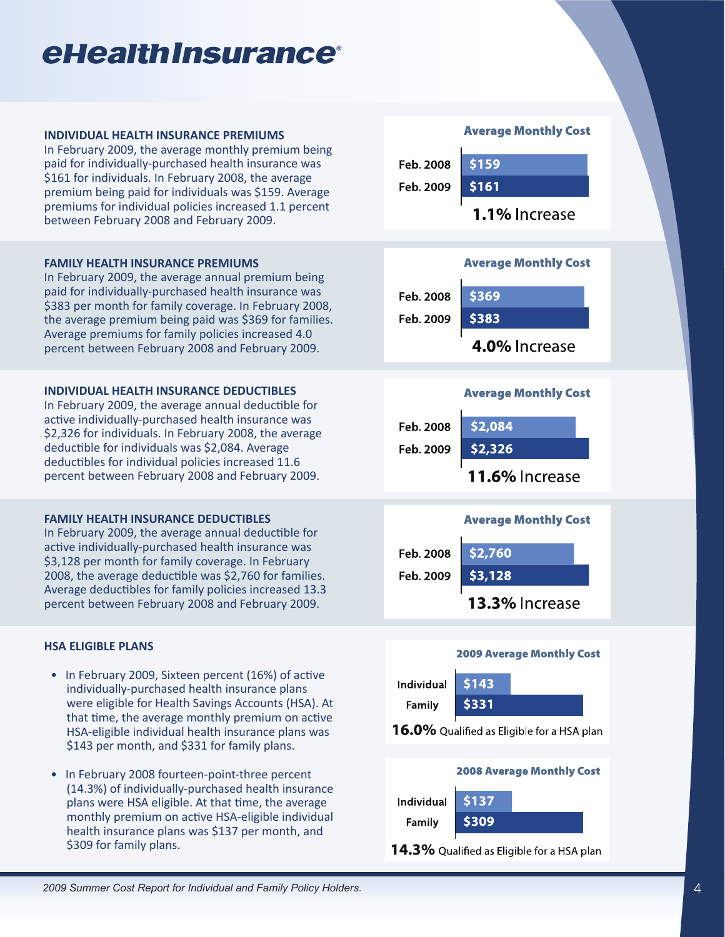#### <span id="page-3-0"></span>**INDIVIDUAL HEALTH INSURANCE PREMIUMS**

In February 2009, the average monthly premium being paid for individually-purchased health insurance was \$161 for individuals. In February 2008, the average premium being paid for individuals was \$159. Average premiums for individual policies increased 1.1 percent between February 2008 and February 2009.

### **FAMILY HEALTH INSURANCE PREMIUMS**

In February 2009, the average annual premium being paid for individually-purchased health insurance was \$383 per month for family coverage. In February 2008, the average premium being paid was \$369 for families. Average premiums for family policies increased 4.0 percent between February 2008 and February 2009.

### **INDIVIDUAL HEALTH INSURANCE DEDUCTIBLES**

In February 2009, the average annual deductible for active individually-purchased health insurance was \$2,326 for individuals. In February 2008, the average deductible for individuals was \$2,084. Average deductibles for individual policies increased 11.6 percent between February 2008 and February 2009.

### **FAMILY HEALTH INSURANCE DEDUCTIBLES**

In February 2009, the average annual deductible for active individually-purchased health insurance was \$3,128 per month for family coverage. In February 2008, the average deductible was \$2,760 for families. Average deductibles for family policies increased 13.3 percent between February 2008 and February 2009.

## **HSA ELIGIBLE PLANS**

- In February 2009, Sixteen percent (16%) of active individually-purchased health insurance plans were eligible for Health Savings Accounts (HSA). At that time, the average monthly premium on active HSA-eligible individual health insurance plans was \$143 per month, and \$331 for family plans.
- In February 2008 fourteen-point-three percent (14.3%) of individually-purchased health insurance plans were HSA eligible. At that time, the average monthly premium on active HSA-eligible individual health insurance plans was \$137 per month, and \$309 for family plans.

### **Average Monthly Cost**



1.1% Increase



## **Average Monthly Cost**







#### **2008 Average Monthly Cost Individual** \$137 \$309 Family

14.3% Qualified as Eligible for a HSA plan